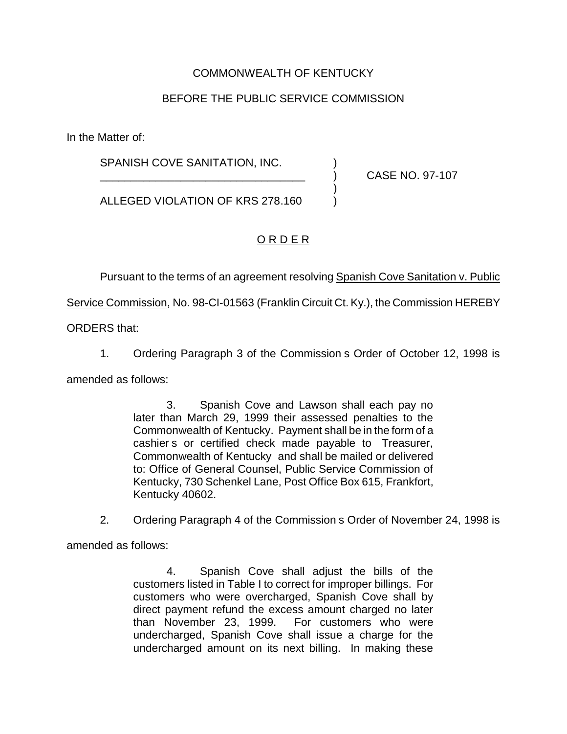## COMMONWEALTH OF KENTUCKY

## BEFORE THE PUBLIC SERVICE COMMISSION

In the Matter of:

SPANISH COVE SANITATION, INC.

\_\_\_\_\_\_\_\_\_\_\_\_\_\_\_\_\_\_\_\_\_\_\_\_\_\_\_\_\_\_\_\_\_ ) CASE NO. 97-107

ALLEGED VIOLATION OF KRS 278.160 )

## O R D E R

Pursuant to the terms of an agreement resolving Spanish Cove Sanitation v. Public

)

Service Commission, No. 98-CI-01563 (Franklin Circuit Ct. Ky.), the Commission HEREBY

ORDERS that:

1. Ordering Paragraph 3 of the Commission s Order of October 12, 1998 is

amended as follows:

3. Spanish Cove and Lawson shall each pay no later than March 29, 1999 their assessed penalties to the Commonwealth of Kentucky. Payment shall be in the form of a cashier s or certified check made payable to Treasurer, Commonwealth of Kentucky and shall be mailed or delivered to: Office of General Counsel, Public Service Commission of Kentucky, 730 Schenkel Lane, Post Office Box 615, Frankfort, Kentucky 40602.

2. Ordering Paragraph 4 of the Commission s Order of November 24, 1998 is

amended as follows:

4. Spanish Cove shall adjust the bills of the customers listed in Table I to correct for improper billings. For customers who were overcharged, Spanish Cove shall by direct payment refund the excess amount charged no later than November 23, 1999. For customers who were undercharged, Spanish Cove shall issue a charge for the undercharged amount on its next billing. In making these